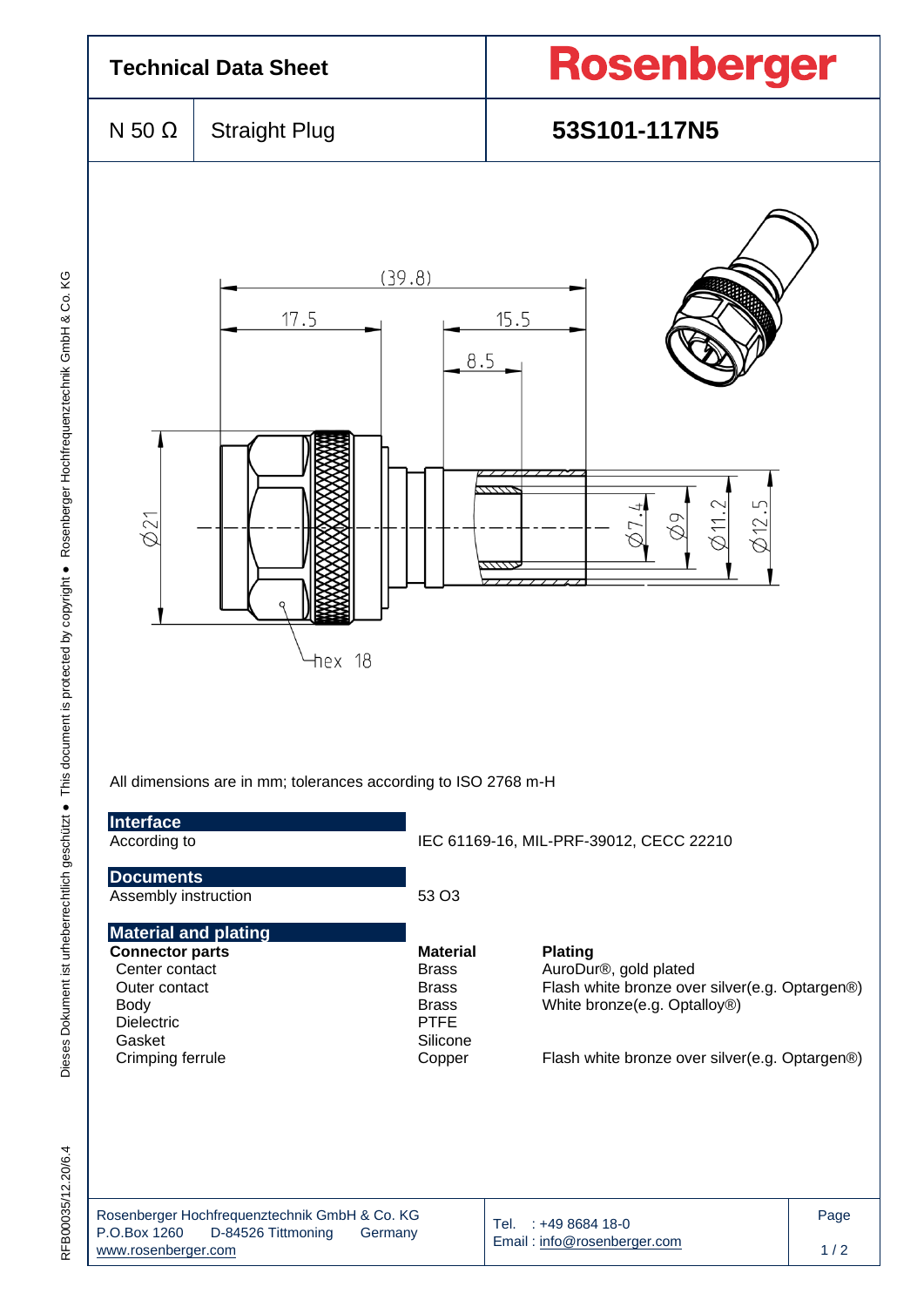